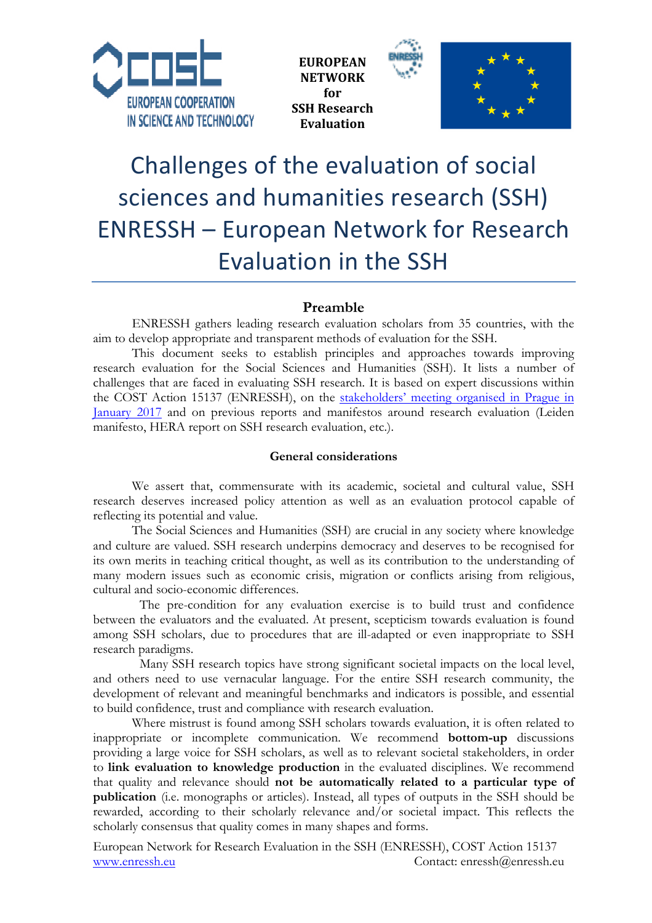





# Challenges of the evaluation of social sciences and humanities research (SSH) ENRESSH – European Network for Research Evaluation in the SSH

## **Preamble**

ENRESSH gathers leading research evaluation scholars from 35 countries, with the aim to develop appropriate and transparent methods of evaluation for the SSH.

This document seeks to establish principles and approaches towards improving research evaluation for the Social Sciences and Humanities (SSH). It lists a number of challenges that are faced in evaluating SSH research. It is based on expert discussions within the COST Action 15137 (ENRESSH), on the stakeholders' meeting organised in Prague in January 2017 and on previous reports and manifestos around research evaluation (Leiden manifesto, HERA report on SSH research evaluation, etc.).

#### **General considerations**

We assert that, commensurate with its academic, societal and cultural value, SSH research deserves increased policy attention as well as an evaluation protocol capable of reflecting its potential and value.

The Social Sciences and Humanities (SSH) are crucial in any society where knowledge and culture are valued. SSH research underpins democracy and deserves to be recognised for its own merits in teaching critical thought, as well as its contribution to the understanding of many modern issues such as economic crisis, migration or conflicts arising from religious, cultural and socio-economic differences.

The pre-condition for any evaluation exercise is to build trust and confidence between the evaluators and the evaluated. At present, scepticism towards evaluation is found among SSH scholars, due to procedures that are ill-adapted or even inappropriate to SSH research paradigms.

Many SSH research topics have strong significant societal impacts on the local level, and others need to use vernacular language. For the entire SSH research community, the development of relevant and meaningful benchmarks and indicators is possible, and essential to build confidence, trust and compliance with research evaluation.

Where mistrust is found among SSH scholars towards evaluation, it is often related to inappropriate or incomplete communication. We recommend **bottom-up** discussions providing a large voice for SSH scholars, as well as to relevant societal stakeholders, in order to **link evaluation to knowledge production** in the evaluated disciplines. We recommend that quality and relevance should **not be automatically related to a particular type of publication** (i.e. monographs or articles). Instead, all types of outputs in the SSH should be rewarded, according to their scholarly relevance and/or societal impact. This reflects the scholarly consensus that quality comes in many shapes and forms.

European Network for Research Evaluation in the SSH (ENRESSH), COST Action 15137 www.enressh.eu Contact: enressh@enressh.eu